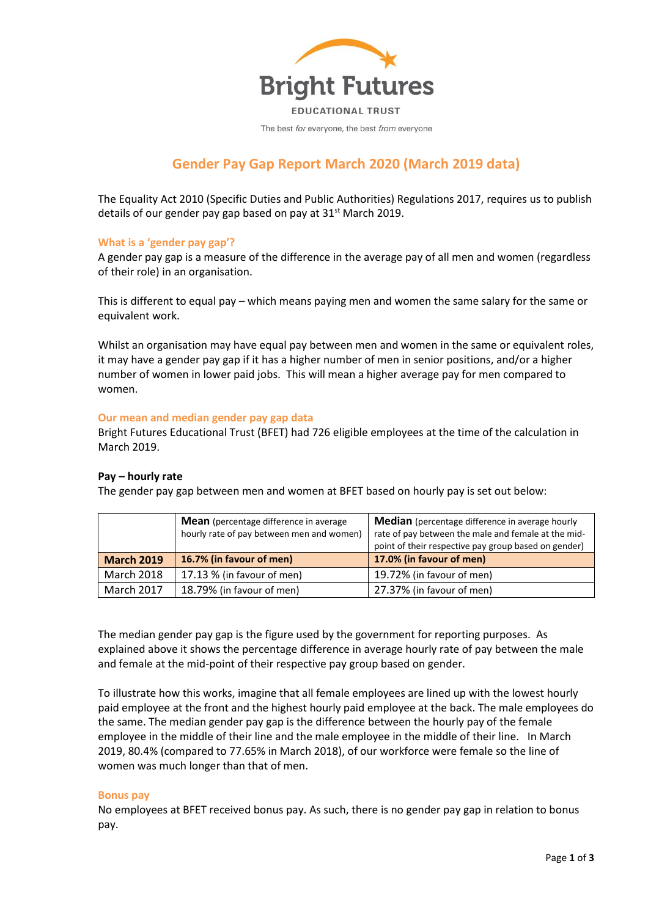

The best for everyone, the best from everyone

# **Gender Pay Gap Report March 2020 (March 2019 data)**

The Equality Act 2010 (Specific Duties and Public Authorities) Regulations 2017, requires us to publish details of our gender pay gap based on pay at  $31<sup>st</sup>$  March 2019.

### **What is a 'gender pay gap'?**

A gender pay gap is a measure of the difference in the average pay of all men and women (regardless of their role) in an organisation.

This is different to equal pay – which means paying men and women the same salary for the same or equivalent work.

Whilst an organisation may have equal pay between men and women in the same or equivalent roles, it may have a gender pay gap if it has a higher number of men in senior positions, and/or a higher number of women in lower paid jobs. This will mean a higher average pay for men compared to women.

#### **Our mean and median gender pay gap data**

Bright Futures Educational Trust (BFET) had 726 eligible employees at the time of the calculation in March 2019.

#### **Pay – hourly rate**

The gender pay gap between men and women at BFET based on hourly pay is set out below:

|                   | <b>Mean</b> (percentage difference in average<br>hourly rate of pay between men and women) | <b>Median</b> (percentage difference in average hourly<br>rate of pay between the male and female at the mid-<br>point of their respective pay group based on gender) |  |  |  |  |
|-------------------|--------------------------------------------------------------------------------------------|-----------------------------------------------------------------------------------------------------------------------------------------------------------------------|--|--|--|--|
| <b>March 2019</b> | 16.7% (in favour of men)                                                                   | 17.0% (in favour of men)                                                                                                                                              |  |  |  |  |
| March 2018        | 17.13 % (in favour of men)                                                                 | 19.72% (in favour of men)                                                                                                                                             |  |  |  |  |
| <b>March 2017</b> | 18.79% (in favour of men)                                                                  | 27.37% (in favour of men)                                                                                                                                             |  |  |  |  |

The median gender pay gap is the figure used by the government for reporting purposes. As explained above it shows the percentage difference in average hourly rate of pay between the male and female at the mid-point of their respective pay group based on gender.

To illustrate how this works, imagine that all female employees are lined up with the lowest hourly paid employee at the front and the highest hourly paid employee at the back. The male employees do the same. The median gender pay gap is the difference between the hourly pay of the female employee in the middle of their line and the male employee in the middle of their line. In March 2019, 80.4% (compared to 77.65% in March 2018), of our workforce were female so the line of women was much longer than that of men.

#### **Bonus pay**

No employees at BFET received bonus pay. As such, there is no gender pay gap in relation to bonus pay.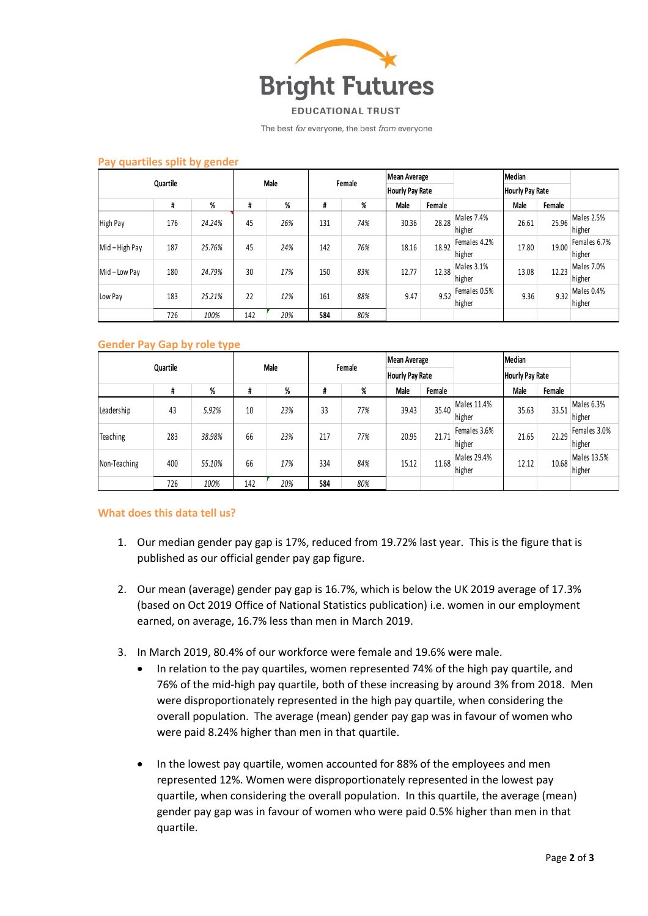

**EDUCATIONAL TRUST** 

The best for everyone, the best from everyone

| Quartile        |     |        | <b>Male</b> |     | Female |     | <b>Mean Average</b><br>Hourly Pay Rate |        |              | Median<br><b>Hourly Pay Rate</b> |        |              |
|-----------------|-----|--------|-------------|-----|--------|-----|----------------------------------------|--------|--------------|----------------------------------|--------|--------------|
|                 |     |        |             |     |        |     |                                        |        |              |                                  |        |              |
|                 | #   | %      | #           | %   | #      | %   | Male                                   | Female |              | Male                             | Female |              |
| <b>High Pay</b> | 176 | 24.24% | 45          | 26% | 131    | 74% | 30.36                                  | 28.28  | Males 7.4%   | 26.61                            | 25.96  | Males 2.5%   |
|                 |     |        |             |     |        |     |                                        |        | higher       |                                  |        | higher       |
| Mid-High Pay    | 187 | 25.76% | 45          | 24% | 142    | 76% | 18.16                                  | 18.92  | Females 4.2% | 17.80                            | 19.00  | Females 6.7% |
|                 |     |        |             |     |        |     |                                        |        | higher       |                                  |        | higher       |
| Mid-Low Pay     | 180 | 24.79% | 30          | 17% | 150    | 83% | 12.77                                  | 12.38  | Males 3.1%   | 13.08                            | 12.23  | Males 7.0%   |
|                 |     |        |             |     |        |     |                                        |        | higher       |                                  |        | higher       |
| Low Pay         | 183 | 25.21% | 22          | 12% | 161    | 88% | 9.47                                   | 9.52   | Females 0.5% | 9.36                             | 9.32   | Males 0.4%   |
|                 |     |        |             |     |        |     |                                        |        | higher       |                                  |        | higher       |
|                 | 726 | 100%   | 142         | 20% | 584    | 80% |                                        |        |              |                                  |        |              |

#### **Pay quartiles split by gender**

#### **Gender Pay Gap by role type**

| Quartile     |     |        | Male |     | Female |     | <b>Mean Average</b><br><b>Hourly Pay Rate</b> |        |                        | Median<br>Hourly Pay Rate |        |                        |
|--------------|-----|--------|------|-----|--------|-----|-----------------------------------------------|--------|------------------------|---------------------------|--------|------------------------|
|              |     |        |      |     |        |     |                                               |        |                        |                           |        |                        |
|              | #   | %      | #    | %   | #      | %   | Male                                          | Female |                        | Male                      | Female |                        |
| Leadership   | 43  | 5.92%  | 10   | 23% | 33     | 77% | 39.43                                         | 35.40  | Males 11.4%<br>higher  | 35.63                     | 33.51  | Males 6.3%<br>higher   |
| Teaching     | 283 | 38.98% | 66   | 23% | 217    | 77% | 20.95                                         | 21.71  | Females 3.6%<br>higher | 21.65                     | 22.29  | Females 3.0%<br>higher |
| Non-Teaching | 400 | 55.10% | 66   | 17% | 334    | 84% | 15.12                                         | 11.68  | Males 29.4%<br>higher  | 12.12                     | 10.68  | Males 13.5%<br>higher  |
|              | 726 | 100%   | 142  | 20% | 584    | 80% |                                               |        |                        |                           |        |                        |

#### **What does this data tell us?**

- 1. Our median gender pay gap is 17%, reduced from 19.72% last year. This is the figure that is published as our official gender pay gap figure.
- 2. Our mean (average) gender pay gap is 16.7%, which is below the UK 2019 average of 17.3% (based on Oct 2019 Office of National Statistics publication) i.e. women in our employment earned, on average, 16.7% less than men in March 2019.
- 3. In March 2019, 80.4% of our workforce were female and 19.6% were male.
	- In relation to the pay quartiles, women represented 74% of the high pay quartile, and 76% of the mid-high pay quartile, both of these increasing by around 3% from 2018. Men were disproportionately represented in the high pay quartile, when considering the overall population. The average (mean) gender pay gap was in favour of women who were paid 8.24% higher than men in that quartile.
	- In the lowest pay quartile, women accounted for 88% of the employees and men represented 12%. Women were disproportionately represented in the lowest pay quartile, when considering the overall population. In this quartile, the average (mean) gender pay gap was in favour of women who were paid 0.5% higher than men in that quartile.